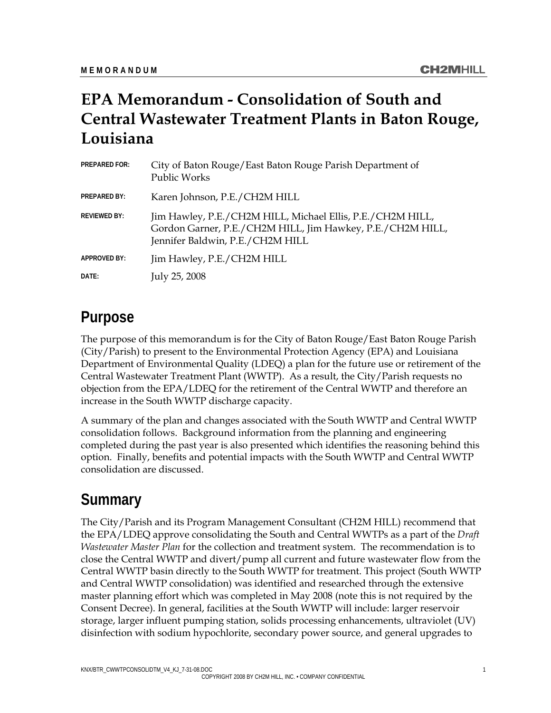## **EPA Memorandum - Consolidation of South and Central Wastewater Treatment Plants in Baton Rouge, Louisiana**

| <b>PREPARED FOR:</b> | City of Baton Rouge/East Baton Rouge Parish Department of<br><b>Public Works</b>                                                                             |
|----------------------|--------------------------------------------------------------------------------------------------------------------------------------------------------------|
| <b>PREPARED BY:</b>  | Karen Johnson, P.E./CH2M HILL                                                                                                                                |
| <b>REVIEWED BY:</b>  | Jim Hawley, P.E./CH2M HILL, Michael Ellis, P.E./CH2M HILL,<br>Gordon Garner, P.E./CH2M HILL, Jim Hawkey, P.E./CH2M HILL,<br>Jennifer Baldwin, P.E./CH2M HILL |
| APPROVED BY:         | Jim Hawley, P.E./CH2M HILL                                                                                                                                   |
| DATE:                | July 25, 2008                                                                                                                                                |

### **Purpose**

The purpose of this memorandum is for the City of Baton Rouge/East Baton Rouge Parish (City/Parish) to present to the Environmental Protection Agency (EPA) and Louisiana Department of Environmental Quality (LDEQ) a plan for the future use or retirement of the Central Wastewater Treatment Plant (WWTP). As a result, the City/Parish requests no objection from the EPA/LDEQ for the retirement of the Central WWTP and therefore an increase in the South WWTP discharge capacity.

A summary of the plan and changes associated with the South WWTP and Central WWTP consolidation follows. Background information from the planning and engineering completed during the past year is also presented which identifies the reasoning behind this option. Finally, benefits and potential impacts with the South WWTP and Central WWTP consolidation are discussed.

### **Summary**

The City/Parish and its Program Management Consultant (CH2M HILL) recommend that the EPA/LDEQ approve consolidating the South and Central WWTPs as a part of the *Draft Wastewater Master Plan* for the collection and treatment system. The recommendation is to close the Central WWTP and divert/pump all current and future wastewater flow from the Central WWTP basin directly to the South WWTP for treatment. This project (South WWTP and Central WWTP consolidation) was identified and researched through the extensive master planning effort which was completed in May 2008 (note this is not required by the Consent Decree). In general, facilities at the South WWTP will include: larger reservoir storage, larger influent pumping station, solids processing enhancements, ultraviolet (UV) disinfection with sodium hypochlorite, secondary power source, and general upgrades to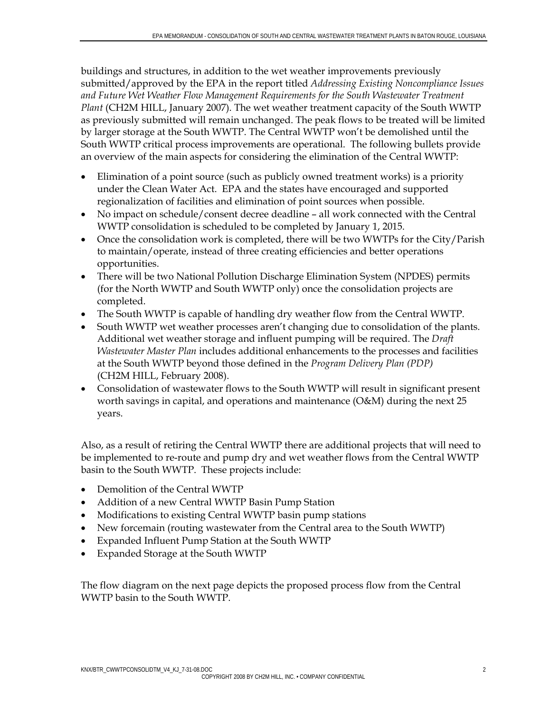buildings and structures, in addition to the wet weather improvements previously submitted/approved by the EPA in the report titled *Addressing Existing Noncompliance Issues and Future Wet Weather Flow Management Requirements for the South Wastewater Treatment Plant* (CH2M HILL, January 2007). The wet weather treatment capacity of the South WWTP as previously submitted will remain unchanged. The peak flows to be treated will be limited by larger storage at the South WWTP. The Central WWTP won't be demolished until the South WWTP critical process improvements are operational. The following bullets provide an overview of the main aspects for considering the elimination of the Central WWTP:

- Elimination of a point source (such as publicly owned treatment works) is a priority under the Clean Water Act. EPA and the states have encouraged and supported regionalization of facilities and elimination of point sources when possible.
- No impact on schedule/consent decree deadline all work connected with the Central WWTP consolidation is scheduled to be completed by January 1, 2015.
- Once the consolidation work is completed, there will be two WWTPs for the City/Parish to maintain/operate, instead of three creating efficiencies and better operations opportunities.
- There will be two National Pollution Discharge Elimination System (NPDES) permits (for the North WWTP and South WWTP only) once the consolidation projects are completed.
- The South WWTP is capable of handling dry weather flow from the Central WWTP.
- South WWTP wet weather processes aren't changing due to consolidation of the plants. Additional wet weather storage and influent pumping will be required. The *Draft Wastewater Master Plan* includes additional enhancements to the processes and facilities at the South WWTP beyond those defined in the *Program Delivery Plan (PDP)*  (CH2M HILL, February 2008).
- Consolidation of wastewater flows to the South WWTP will result in significant present worth savings in capital, and operations and maintenance (O&M) during the next 25 years.

Also, as a result of retiring the Central WWTP there are additional projects that will need to be implemented to re-route and pump dry and wet weather flows from the Central WWTP basin to the South WWTP. These projects include:

- Demolition of the Central WWTP
- Addition of a new Central WWTP Basin Pump Station
- Modifications to existing Central WWTP basin pump stations
- New forcemain (routing wastewater from the Central area to the South WWTP)
- Expanded Influent Pump Station at the South WWTP
- Expanded Storage at the South WWTP

The flow diagram on the next page depicts the proposed process flow from the Central WWTP basin to the South WWTP.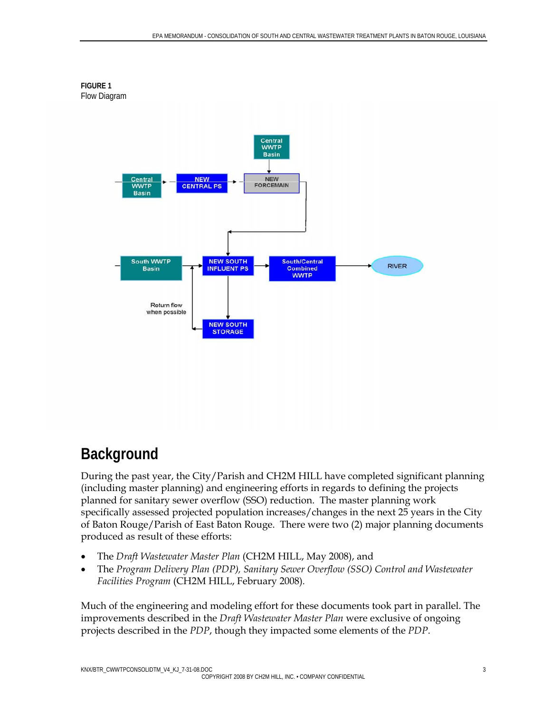

# **Background**

During the past year, the City/Parish and CH2M HILL have completed significant planning (including master planning) and engineering efforts in regards to defining the projects planned for sanitary sewer overflow (SSO) reduction. The master planning work specifically assessed projected population increases/changes in the next 25 years in the City of Baton Rouge/Parish of East Baton Rouge. There were two (2) major planning documents produced as result of these efforts:

- The *Draft Wastewater Master Plan* (CH2M HILL, May 2008), and
- The *Program Delivery Plan (PDP), Sanitary Sewer Overflow (SSO) Control and Wastewater Facilities Program* (CH2M HILL, February 2008)*.*

Much of the engineering and modeling effort for these documents took part in parallel. The improvements described in the *Draft Wastewater Master Plan* were exclusive of ongoing projects described in the *PDP*, though they impacted some elements of the *PDP*.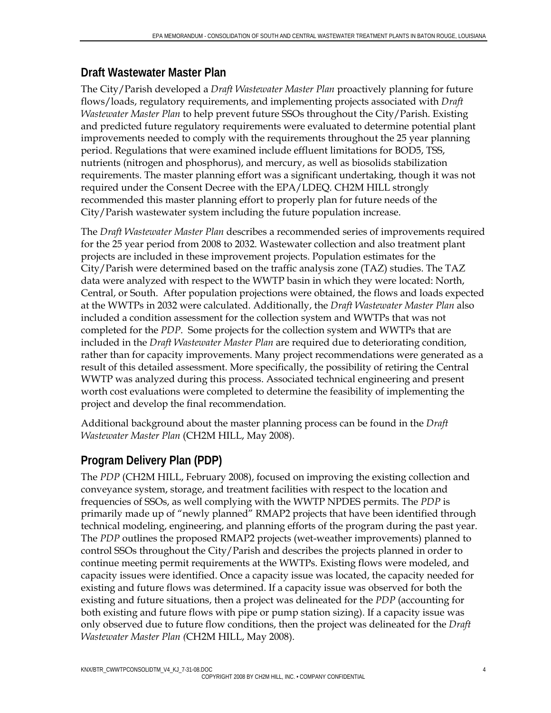#### **Draft Wastewater Master Plan**

The City/Parish developed a *Draft Wastewater Master Plan* proactively planning for future flows/loads, regulatory requirements, and implementing projects associated with *Draft Wastewater Master Plan* to help prevent future SSOs throughout the City/Parish. Existing and predicted future regulatory requirements were evaluated to determine potential plant improvements needed to comply with the requirements throughout the 25 year planning period. Regulations that were examined include effluent limitations for BOD5, TSS, nutrients (nitrogen and phosphorus), and mercury, as well as biosolids stabilization requirements. The master planning effort was a significant undertaking, though it was not required under the Consent Decree with the EPA/LDEQ. CH2M HILL strongly recommended this master planning effort to properly plan for future needs of the City/Parish wastewater system including the future population increase.

The *Draft Wastewater Master Plan* describes a recommended series of improvements required for the 25 year period from 2008 to 2032. Wastewater collection and also treatment plant projects are included in these improvement projects. Population estimates for the City/Parish were determined based on the traffic analysis zone (TAZ) studies. The TAZ data were analyzed with respect to the WWTP basin in which they were located: North, Central, or South. After population projections were obtained, the flows and loads expected at the WWTPs in 2032 were calculated. Additionally, the *Draft Wastewater Master Plan* also included a condition assessment for the collection system and WWTPs that was not completed for the *PDP*. Some projects for the collection system and WWTPs that are included in the *Draft Wastewater Master Plan* are required due to deteriorating condition, rather than for capacity improvements. Many project recommendations were generated as a result of this detailed assessment. More specifically, the possibility of retiring the Central WWTP was analyzed during this process. Associated technical engineering and present worth cost evaluations were completed to determine the feasibility of implementing the project and develop the final recommendation.

Additional background about the master planning process can be found in the *Draft Wastewater Master Plan* (CH2M HILL, May 2008).

### **Program Delivery Plan (PDP)**

The *PDP* (CH2M HILL, February 2008), focused on improving the existing collection and conveyance system, storage, and treatment facilities with respect to the location and frequencies of SSOs, as well complying with the WWTP NPDES permits. The *PDP* is primarily made up of "newly planned" RMAP2 projects that have been identified through technical modeling, engineering, and planning efforts of the program during the past year. The *PDP* outlines the proposed RMAP2 projects (wet-weather improvements) planned to control SSOs throughout the City/Parish and describes the projects planned in order to continue meeting permit requirements at the WWTPs. Existing flows were modeled, and capacity issues were identified. Once a capacity issue was located, the capacity needed for existing and future flows was determined. If a capacity issue was observed for both the existing and future situations, then a project was delineated for the *PDP* (accounting for both existing and future flows with pipe or pump station sizing). If a capacity issue was only observed due to future flow conditions, then the project was delineated for the *Draft Wastewater Master Plan (*CH2M HILL, May 2008).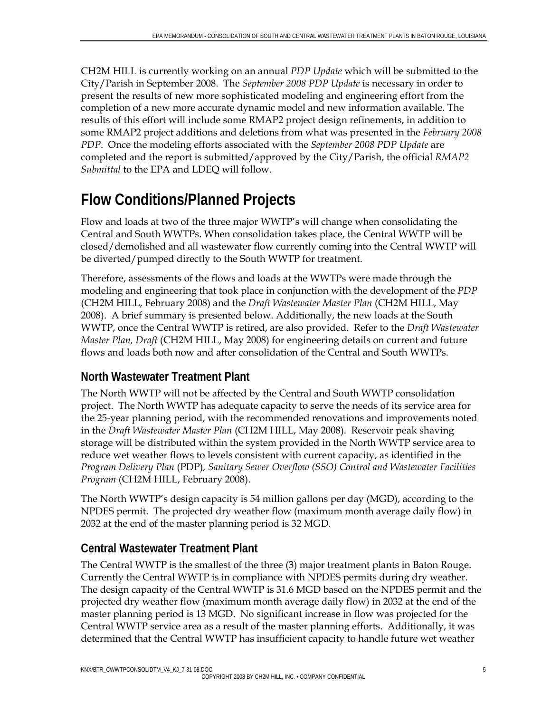CH2M HILL is currently working on an annual *PDP Update* which will be submitted to the City/Parish in September 2008. The *September 2008 PDP Update* is necessary in order to present the results of new more sophisticated modeling and engineering effort from the completion of a new more accurate dynamic model and new information available. The results of this effort will include some RMAP2 project design refinements, in addition to some RMAP2 project additions and deletions from what was presented in the *February 2008 PDP*. Once the modeling efforts associated with the *September 2008 PDP Update* are completed and the report is submitted/approved by the City/Parish, the official *RMAP2 Submittal* to the EPA and LDEQ will follow.

# **Flow Conditions/Planned Projects**

Flow and loads at two of the three major WWTP's will change when consolidating the Central and South WWTPs. When consolidation takes place, the Central WWTP will be closed/demolished and all wastewater flow currently coming into the Central WWTP will be diverted/pumped directly to the South WWTP for treatment.

Therefore, assessments of the flows and loads at the WWTPs were made through the modeling and engineering that took place in conjunction with the development of the *PDP*  (CH2M HILL, February 2008) and the *Draft Wastewater Master Plan* (CH2M HILL, May 2008). A brief summary is presented below. Additionally, the new loads at the South WWTP, once the Central WWTP is retired, are also provided. Refer to the *Draft Wastewater Master Plan, Draft* (CH2M HILL, May 2008) for engineering details on current and future flows and loads both now and after consolidation of the Central and South WWTPs.

#### **North Wastewater Treatment Plant**

The North WWTP will not be affected by the Central and South WWTP consolidation project. The North WWTP has adequate capacity to serve the needs of its service area for the 25-year planning period, with the recommended renovations and improvements noted in the *Draft Wastewater Master Plan* (CH2M HILL, May 2008). Reservoir peak shaving storage will be distributed within the system provided in the North WWTP service area to reduce wet weather flows to levels consistent with current capacity, as identified in the *Program Delivery Plan* (PDP)*, Sanitary Sewer Overflow (SSO) Control and Wastewater Facilities Program* (CH2M HILL, February 2008).

The North WWTP's design capacity is 54 million gallons per day (MGD), according to the NPDES permit. The projected dry weather flow (maximum month average daily flow) in 2032 at the end of the master planning period is 32 MGD.

#### **Central Wastewater Treatment Plant**

The Central WWTP is the smallest of the three (3) major treatment plants in Baton Rouge. Currently the Central WWTP is in compliance with NPDES permits during dry weather. The design capacity of the Central WWTP is 31.6 MGD based on the NPDES permit and the projected dry weather flow (maximum month average daily flow) in 2032 at the end of the master planning period is 13 MGD. No significant increase in flow was projected for the Central WWTP service area as a result of the master planning efforts. Additionally, it was determined that the Central WWTP has insufficient capacity to handle future wet weather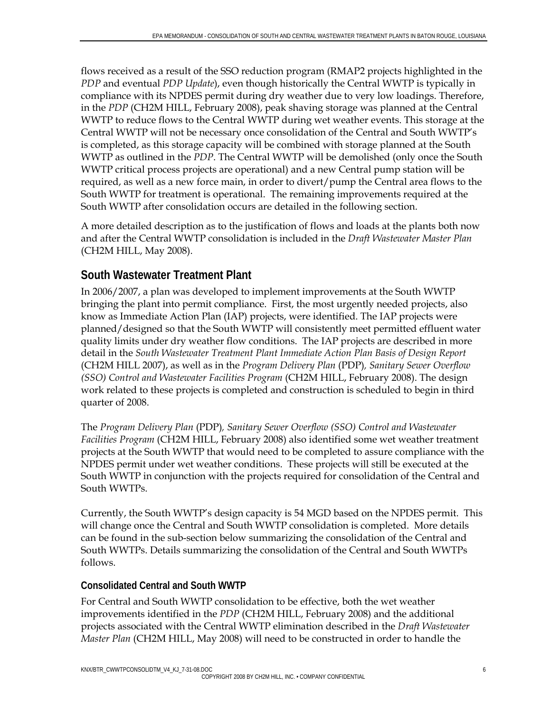flows received as a result of the SSO reduction program (RMAP2 projects highlighted in the *PDP* and eventual *PDP Update*), even though historically the Central WWTP is typically in compliance with its NPDES permit during dry weather due to very low loadings. Therefore, in the *PDP* (CH2M HILL, February 2008), peak shaving storage was planned at the Central WWTP to reduce flows to the Central WWTP during wet weather events. This storage at the Central WWTP will not be necessary once consolidation of the Central and South WWTP's is completed, as this storage capacity will be combined with storage planned at the South WWTP as outlined in the *PDP*. The Central WWTP will be demolished (only once the South WWTP critical process projects are operational) and a new Central pump station will be required, as well as a new force main, in order to divert/pump the Central area flows to the South WWTP for treatment is operational. The remaining improvements required at the South WWTP after consolidation occurs are detailed in the following section.

A more detailed description as to the justification of flows and loads at the plants both now and after the Central WWTP consolidation is included in the *Draft Wastewater Master Plan* (CH2M HILL, May 2008).

#### **South Wastewater Treatment Plant**

In 2006/2007, a plan was developed to implement improvements at the South WWTP bringing the plant into permit compliance. First, the most urgently needed projects, also know as Immediate Action Plan (IAP) projects, were identified. The IAP projects were planned/designed so that the South WWTP will consistently meet permitted effluent water quality limits under dry weather flow conditions. The IAP projects are described in more detail in the *South Wastewater Treatment Plant Immediate Action Plan Basis of Design Report* (CH2M HILL 2007), as well as in the *Program Delivery Plan* (PDP)*, Sanitary Sewer Overflow (SSO) Control and Wastewater Facilities Program (CH2M HILL, February 2008). The design* work related to these projects is completed and construction is scheduled to begin in third quarter of 2008.

The *Program Delivery Plan* (PDP)*, Sanitary Sewer Overflow (SSO) Control and Wastewater Facilities Program* (CH2M HILL, February 2008) also identified some wet weather treatment projects at the South WWTP that would need to be completed to assure compliance with the NPDES permit under wet weather conditions. These projects will still be executed at the South WWTP in conjunction with the projects required for consolidation of the Central and South WWTPs.

Currently, the South WWTP's design capacity is 54 MGD based on the NPDES permit. This will change once the Central and South WWTP consolidation is completed. More details can be found in the sub-section below summarizing the consolidation of the Central and South WWTPs. Details summarizing the consolidation of the Central and South WWTPs follows.

#### **Consolidated Central and South WWTP**

For Central and South WWTP consolidation to be effective, both the wet weather improvements identified in the *PDP* (CH2M HILL, February 2008) and the additional projects associated with the Central WWTP elimination described in the *Draft Wastewater Master Plan* (CH2M HILL, May 2008) will need to be constructed in order to handle the